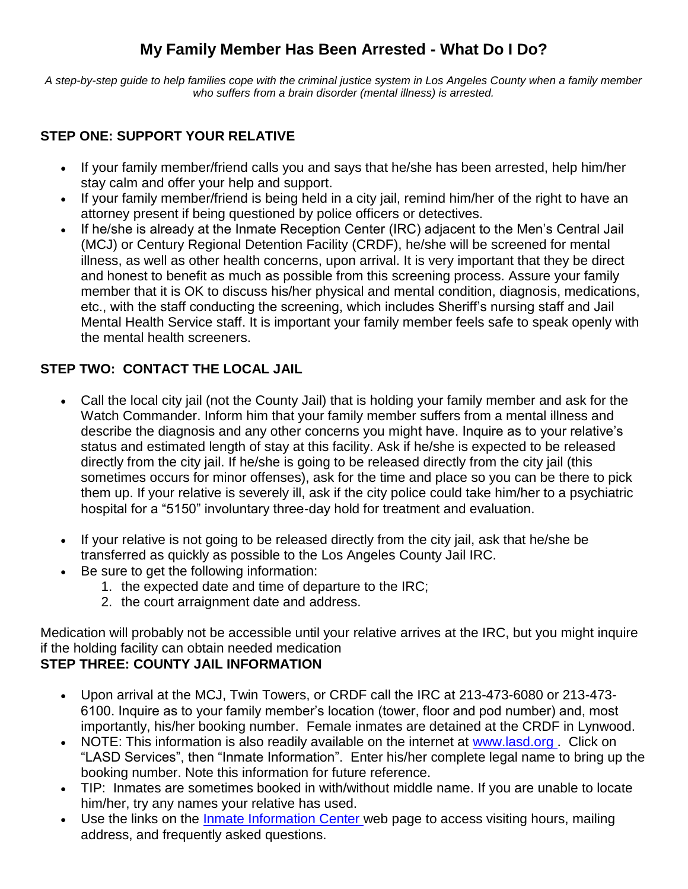# **My Family Member Has Been Arrested - What Do I Do?**

*A step-by-step guide to help families cope with the criminal justice system in Los Angeles County when a family member who suffers from a brain disorder (mental illness) is arrested.*

## **STEP ONE: SUPPORT YOUR RELATIVE**

- If your family member/friend calls you and says that he/she has been arrested, help him/her stay calm and offer your help and support.
- If your family member/friend is being held in a city jail, remind him/her of the right to have an attorney present if being questioned by police officers or detectives.
- If he/she is already at the Inmate Reception Center (IRC) adjacent to the Men's Central Jail (MCJ) or Century Regional Detention Facility (CRDF), he/she will be screened for mental illness, as well as other health concerns, upon arrival. It is very important that they be direct and honest to benefit as much as possible from this screening process. Assure your family member that it is OK to discuss his/her physical and mental condition, diagnosis, medications, etc., with the staff conducting the screening, which includes Sheriff's nursing staff and Jail Mental Health Service staff. It is important your family member feels safe to speak openly with the mental health screeners.

## **STEP TWO: CONTACT THE LOCAL JAIL**

- Call the local city jail (not the County Jail) that is holding your family member and ask for the Watch Commander. Inform him that your family member suffers from a mental illness and describe the diagnosis and any other concerns you might have. Inquire as to your relative's status and estimated length of stay at this facility. Ask if he/she is expected to be released directly from the city jail. If he/she is going to be released directly from the city jail (this sometimes occurs for minor offenses), ask for the time and place so you can be there to pick them up. If your relative is severely ill, ask if the city police could take him/her to a psychiatric hospital for a "5150" involuntary three-day hold for treatment and evaluation.
- If your relative is not going to be released directly from the city jail, ask that he/she be transferred as quickly as possible to the Los Angeles County Jail IRC.
- Be sure to get the following information:
	- 1. the expected date and time of departure to the IRC;
	- 2. the court arraignment date and address.

Medication will probably not be accessible until your relative arrives at the IRC, but you might inquire if the holding facility can obtain needed medication

## **STEP THREE: COUNTY JAIL INFORMATION**

- Upon arrival at the MCJ, Twin Towers, or CRDF call the IRC at 213-473-6080 or 213-473- 6100. Inquire as to your family member's location (tower, floor and pod number) and, most importantly, his/her booking number. Female inmates are detained at the CRDF in Lynwood.
- NOTE: This information is also readily available on the internet at www.lasd.org. Click on "LASD Services", then "Inmate Information". Enter his/her complete legal name to bring up the booking number. Note this information for future reference.
- TIP: Inmates are sometimes booked in with/without middle name. If you are unable to locate him/her, try any names your relative has used.
- Use the links on the *Inmate Information Center* web page to access visiting hours, mailing address, and frequently asked questions.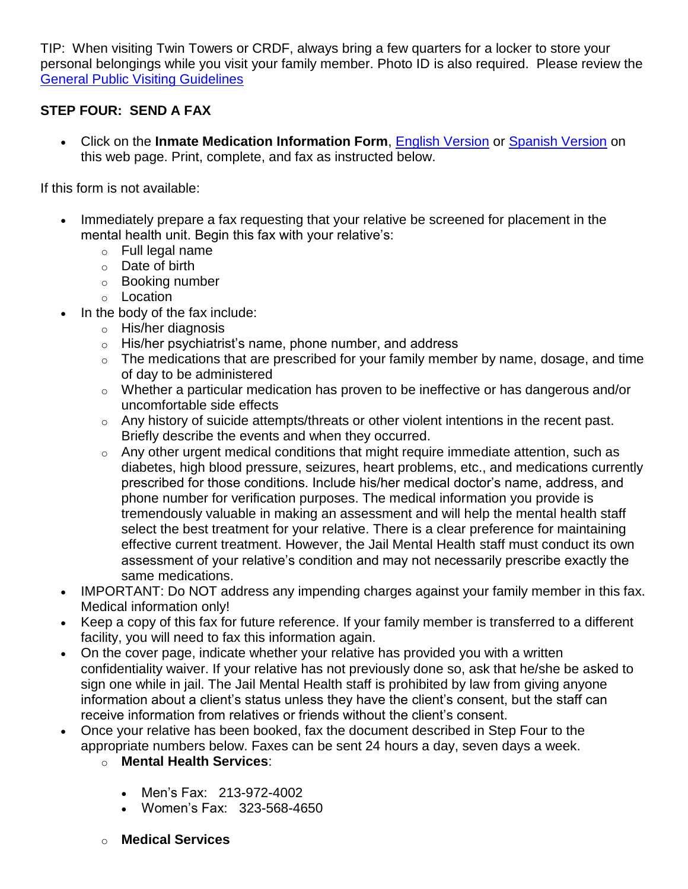TIP: When visiting Twin Towers or CRDF, always bring a few quarters for a locker to store your personal belongings while you visit your family member. Photo ID is also required. Please review the [General Public Visiting Guidelines](http://www.lasd.org/lasd_services/custody-services/custody.html)

## **STEP FOUR: SEND A FAX**

 Click on the **Inmate Medication Information Form**, [English Version](http://www.lasd.org/lasd_services/correctional/medication_info_form.pdf) or [Spanish Version](http://www.lasd.org/lasd_services/correctional/medication_info_form_spanish.pdf) on this web page. Print, complete, and fax as instructed below.

If this form is not available:

- Immediately prepare a fax requesting that your relative be screened for placement in the mental health unit. Begin this fax with your relative's:
	- o Full legal name
	- o Date of birth
	- o Booking number
	- o Location
- In the body of the fax include:
	- o His/her diagnosis
	- $\circ$  His/her psychiatrist's name, phone number, and address
	- $\circ$  The medications that are prescribed for your family member by name, dosage, and time of day to be administered
	- o Whether a particular medication has proven to be ineffective or has dangerous and/or uncomfortable side effects
	- o Any history of suicide attempts/threats or other violent intentions in the recent past. Briefly describe the events and when they occurred.
	- o Any other urgent medical conditions that might require immediate attention, such as diabetes, high blood pressure, seizures, heart problems, etc., and medications currently prescribed for those conditions. Include his/her medical doctor's name, address, and phone number for verification purposes. The medical information you provide is tremendously valuable in making an assessment and will help the mental health staff select the best treatment for your relative. There is a clear preference for maintaining effective current treatment. However, the Jail Mental Health staff must conduct its own assessment of your relative's condition and may not necessarily prescribe exactly the same medications.
- IMPORTANT: Do NOT address any impending charges against your family member in this fax. Medical information only!
- Keep a copy of this fax for future reference. If your family member is transferred to a different facility, you will need to fax this information again.
- On the cover page, indicate whether your relative has provided you with a written confidentiality waiver. If your relative has not previously done so, ask that he/she be asked to sign one while in jail. The Jail Mental Health staff is prohibited by law from giving anyone information about a client's status unless they have the client's consent, but the staff can receive information from relatives or friends without the client's consent.
- Once your relative has been booked, fax the document described in Step Four to the appropriate numbers below. Faxes can be sent 24 hours a day, seven days a week.
	- o **Mental Health Services**:
		- Men's Fax: 213-972-4002
		- Women's Fax: 323-568-4650
	- o **Medical Services**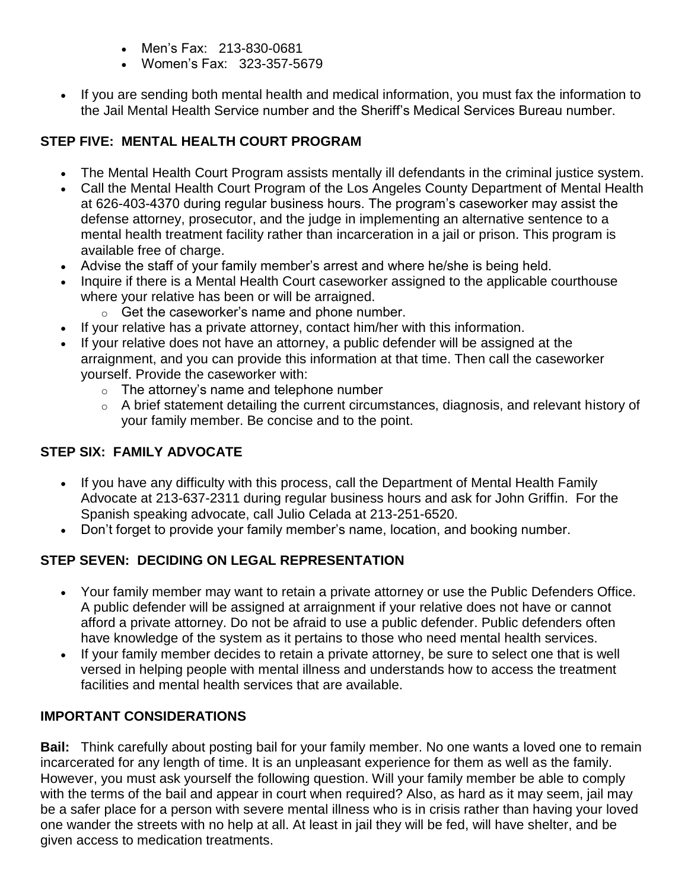- Men's Fax: 213-830-0681
- Women's Fax: 323-357-5679
- If you are sending both mental health and medical information, you must fax the information to the Jail Mental Health Service number and the Sheriff's Medical Services Bureau number.

## **STEP FIVE: MENTAL HEALTH COURT PROGRAM**

- The Mental Health Court Program assists mentally ill defendants in the criminal justice system.
- Call the Mental Health Court Program of the Los Angeles County Department of Mental Health at 626-403-4370 during regular business hours. The program's caseworker may assist the defense attorney, prosecutor, and the judge in implementing an alternative sentence to a mental health treatment facility rather than incarceration in a jail or prison. This program is available free of charge.
- Advise the staff of your family member's arrest and where he/she is being held.
- Inquire if there is a Mental Health Court caseworker assigned to the applicable courthouse where your relative has been or will be arraigned.
	- $\circ$  Get the caseworker's name and phone number.
- If your relative has a private attorney, contact him/her with this information.
- If your relative does not have an attorney, a public defender will be assigned at the arraignment, and you can provide this information at that time. Then call the caseworker yourself. Provide the caseworker with:
	- o The attorney's name and telephone number
	- o A brief statement detailing the current circumstances, diagnosis, and relevant history of your family member. Be concise and to the point.

## **STEP SIX: FAMILY ADVOCATE**

- If you have any difficulty with this process, call the Department of Mental Health Family Advocate at 213-637-2311 during regular business hours and ask for John Griffin. For the Spanish speaking advocate, call Julio Celada at 213-251-6520.
- Don't forget to provide your family member's name, location, and booking number.

## **STEP SEVEN: DECIDING ON LEGAL REPRESENTATION**

- Your family member may want to retain a private attorney or use the Public Defenders Office. A public defender will be assigned at arraignment if your relative does not have or cannot afford a private attorney. Do not be afraid to use a public defender. Public defenders often have knowledge of the system as it pertains to those who need mental health services.
- If your family member decides to retain a private attorney, be sure to select one that is well versed in helping people with mental illness and understands how to access the treatment facilities and mental health services that are available.

## **IMPORTANT CONSIDERATIONS**

**Bail:** Think carefully about posting bail for your family member. No one wants a loved one to remain incarcerated for any length of time. It is an unpleasant experience for them as well as the family. However, you must ask yourself the following question. Will your family member be able to comply with the terms of the bail and appear in court when required? Also, as hard as it may seem, jail may be a safer place for a person with severe mental illness who is in crisis rather than having your loved one wander the streets with no help at all. At least in jail they will be fed, will have shelter, and be given access to medication treatments.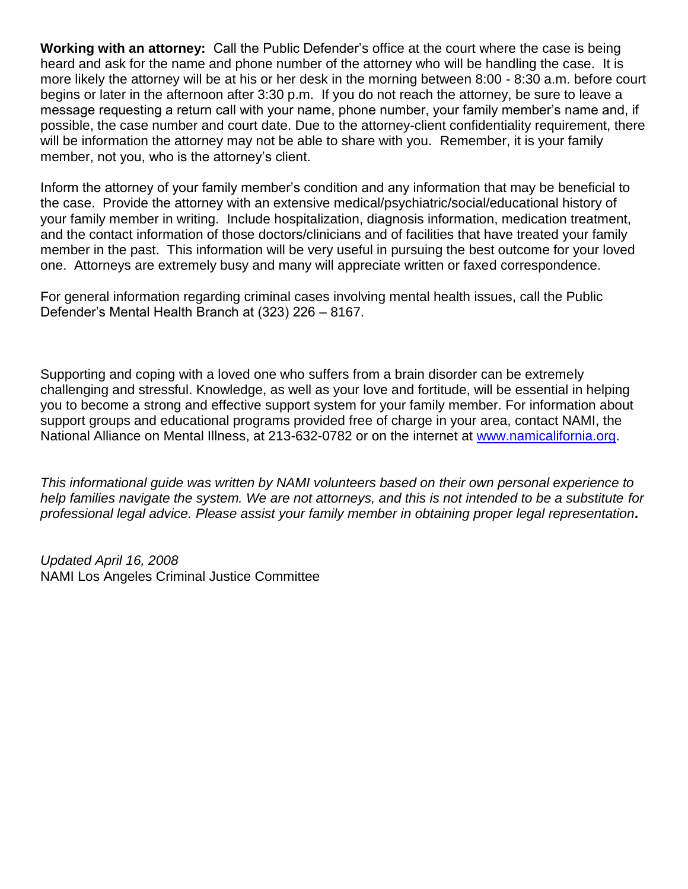**Working with an attorney:** Call the Public Defender's office at the court where the case is being heard and ask for the name and phone number of the attorney who will be handling the case. It is more likely the attorney will be at his or her desk in the morning between 8:00 - 8:30 a.m. before court begins or later in the afternoon after 3:30 p.m. If you do not reach the attorney, be sure to leave a message requesting a return call with your name, phone number, your family member's name and, if possible, the case number and court date. Due to the attorney-client confidentiality requirement, there will be information the attorney may not be able to share with you. Remember, it is your family member, not you, who is the attorney's client.

Inform the attorney of your family member's condition and any information that may be beneficial to the case. Provide the attorney with an extensive medical/psychiatric/social/educational history of your family member in writing. Include hospitalization, diagnosis information, medication treatment, and the contact information of those doctors/clinicians and of facilities that have treated your family member in the past. This information will be very useful in pursuing the best outcome for your loved one. Attorneys are extremely busy and many will appreciate written or faxed correspondence.

For general information regarding criminal cases involving mental health issues, call the Public Defender's Mental Health Branch at (323) 226 – 8167.

Supporting and coping with a loved one who suffers from a brain disorder can be extremely challenging and stressful. Knowledge, as well as your love and fortitude, will be essential in helping you to become a strong and effective support system for your family member. For information about support groups and educational programs provided free of charge in your area, contact NAMI, the National Alliance on Mental Illness, at 213-632-0782 or on the internet at [www.namicalifornia.org.](http://www.namicalifornia.org/)

*This informational guide was written by NAMI volunteers based on their own personal experience to help families navigate the system. We are not attorneys, and this is not intended to be a substitute for professional legal advice. Please assist your family member in obtaining proper legal representation.*

*Updated April 16, 2008* NAMI Los Angeles Criminal Justice Committee